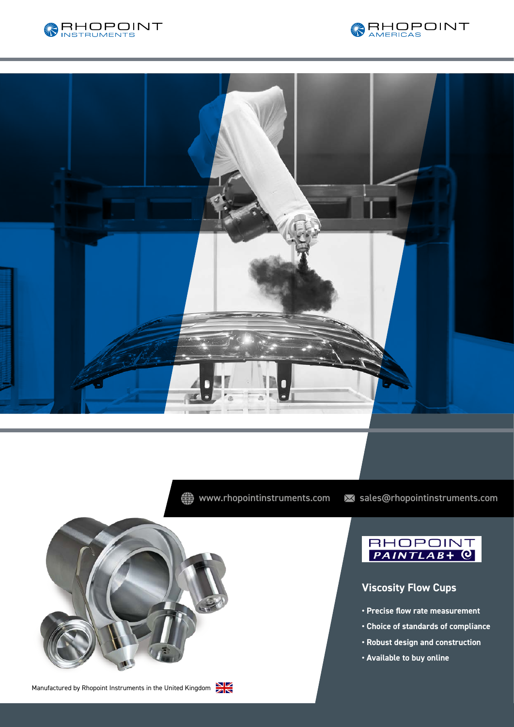





« www.rhopointinstruments.com > sales@rhopointinstruments.com



Manufactured by Rhopoint Instruments in the United Kingdom





## **Viscosity Flow Cups**

- **Precise flow rate measurement**
- **Choice of standards of compliance**
- **Robust design and construction**
- **Available to buy online**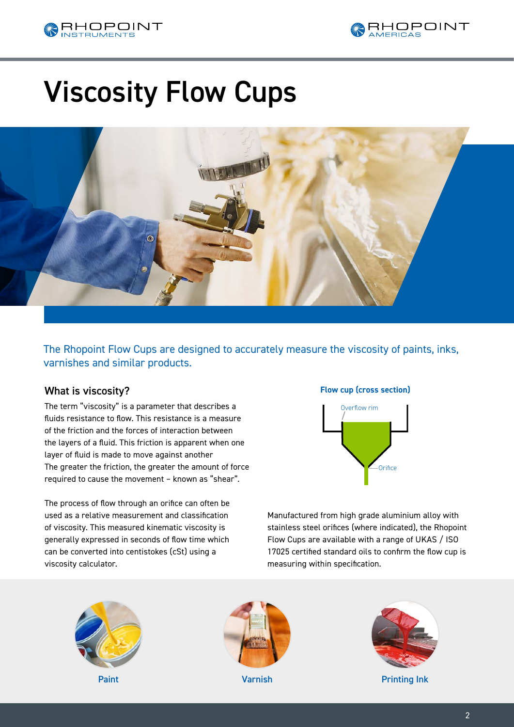



# Viscosity Flow Cups



The Rhopoint Flow Cups are designed to accurately measure the viscosity of paints, inks, varnishes and similar products.

### What is viscosity?

The term "viscosity" is a parameter that describes a fluids resistance to flow. This resistance is a measure of the friction and the forces of interaction between the layers of a fluid. This friction is apparent when one layer of fluid is made to move against another The greater the friction, the greater the amount of force required to cause the movement – known as "shear".

The process of flow through an orifice can often be used as a relative measurement and classification of viscosity. This measured kinematic viscosity is generally expressed in seconds of flow time which can be converted into centistokes (cSt) using a viscosity calculator.

### **Flow cup (cross section)**



Manufactured from high grade aluminium alloy with stainless steel orifices (where indicated), the Rhopoint Flow Cups are available with a range of UKAS / ISO 17025 certified standard oils to confirm the flow cup is measuring within specification.









Paint **Paint Printing Ink Printing Ink Printing Ink**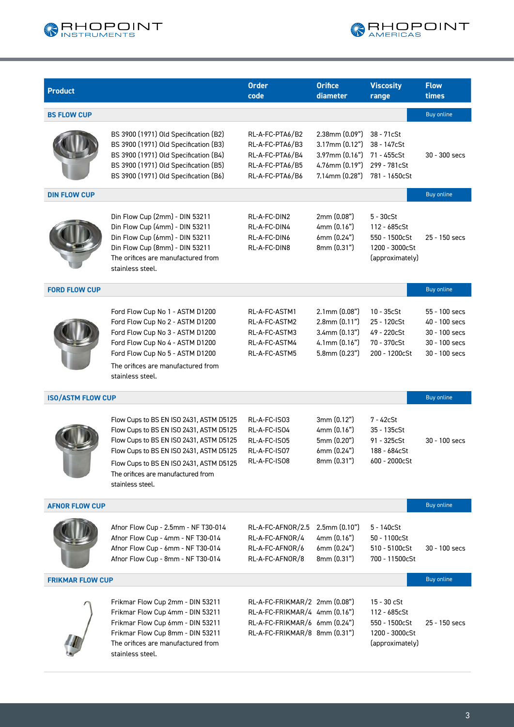



| <b>Product</b>           |                                                                                                                                                                                                                                                                               | <b>Order</b><br>code                                                                                                             | <b>Orifice</b><br>diameter                                                                                 | <b>Viscosity</b><br>range                                                          | <b>Flow</b><br>times                                                              |
|--------------------------|-------------------------------------------------------------------------------------------------------------------------------------------------------------------------------------------------------------------------------------------------------------------------------|----------------------------------------------------------------------------------------------------------------------------------|------------------------------------------------------------------------------------------------------------|------------------------------------------------------------------------------------|-----------------------------------------------------------------------------------|
| <b>BS FLOW CUP</b>       |                                                                                                                                                                                                                                                                               |                                                                                                                                  |                                                                                                            |                                                                                    | <b>Buy online</b>                                                                 |
|                          | BS 3900 (1971) Old Specification (B2)<br>BS 3900 (1971) Old Specification (B3)<br>BS 3900 (1971) Old Specification (B4)<br>BS 3900 (1971) Old Specification (B5)<br>BS 3900 (1971) Old Specification (B6)                                                                     | RL-A-FC-PTA6/B2<br>RL-A-FC-PTA6/B3<br>RL-A-FC-PTA6/B4<br>RL-A-FC-PTA6/B5<br>RL-A-FC-PTA6/B6                                      | $2.38$ mm $(0.09")$<br>$3.17$ mm $(0.12")$<br>$3.97$ mm $(0.16")$<br>4.76mm (0.19")<br>$7.14$ mm $(0.28")$ | 38 - 71cSt<br>38 - 147cSt<br>71 - 455cSt<br>299 - 781cSt<br>781 - 1650cSt          | 30 - 300 secs                                                                     |
| <b>DIN FLOW CUP</b>      |                                                                                                                                                                                                                                                                               |                                                                                                                                  |                                                                                                            |                                                                                    | <b>Buy online</b>                                                                 |
|                          | Din Flow Cup (2mm) - DIN 53211<br>Din Flow Cup (4mm) - DIN 53211<br>Din Flow Cup (6mm) - DIN 53211<br>Din Flow Cup (8mm) - DIN 53211<br>The orifices are manufactured from<br>stainless steel.                                                                                | RL-A-FC-DIN2<br>RL-A-FC-DIN4<br>RL-A-FC-DIN6<br>RL-A-FC-DIN8                                                                     | 2mm (0.08")<br>4mm (0.16")<br>6mm(0.24")<br>8mm (0.31")                                                    | $5 - 30c$ St<br>112 - 685cSt<br>550 - 1500cSt<br>1200 - 3000cSt<br>(approximately) | 25 - 150 secs                                                                     |
| <b>FORD FLOW CUP</b>     |                                                                                                                                                                                                                                                                               |                                                                                                                                  |                                                                                                            |                                                                                    | <b>Buy online</b>                                                                 |
|                          | Ford Flow Cup No 1 - ASTM D1200<br>Ford Flow Cup No 2 - ASTM D1200<br>Ford Flow Cup No 3 - ASTM D1200<br>Ford Flow Cup No 4 - ASTM D1200<br>Ford Flow Cup No 5 - ASTM D1200<br>The orifices are manufactured from<br>stainless steel.                                         | RL-A-FC-ASTM1<br>RL-A-FC-ASTM2<br>RL-A-FC-ASTM3<br>RL-A-FC-ASTM4<br>RL-A-FC-ASTM5                                                | $2.1$ mm $(0.08")$<br>$2.8$ mm $(0.11")$<br>$3.4$ mm $(0.13")$<br>$4.1$ mm $(0.16")$<br>$5.8$ mm $(0.23")$ | $10 - 35c$ St<br>25 - 120cSt<br>49 - 220cSt<br>70 - 370cSt<br>200 - 1200cSt        | 55 - 100 secs<br>40 - 100 secs<br>30 - 100 secs<br>30 - 100 secs<br>30 - 100 secs |
| <b>ISO/ASTM FLOW CUP</b> |                                                                                                                                                                                                                                                                               |                                                                                                                                  |                                                                                                            |                                                                                    | <b>Buy online</b>                                                                 |
|                          | Flow Cups to BS EN ISO 2431, ASTM D5125<br>Flow Cups to BS EN ISO 2431, ASTM D5125<br>Flow Cups to BS EN ISO 2431, ASTM D5125<br>Flow Cups to BS EN ISO 2431, ASTM D5125<br>Flow Cups to BS EN ISO 2431, ASTM D5125<br>The orifices are manufactured from<br>stainless steel. | RL-A-FC-IS03<br>RL-A-FC-ISO4<br>RL-A-FC-IS05<br>RL-A-FC-IS07<br>RL-A-FC-ISO8                                                     | 3mm (0.12")<br>4mm (0.16")<br>5mm (0.20")<br>6mm(0.24")<br>8mm (0.31")                                     | 7 - 42cSt<br>$35 - 135c$ St<br>$91 - 325c$ St<br>188 - 684cSt<br>600 - 2000cSt     | 30 - 100 secs                                                                     |
| <b>AFNOR FLOW CUP</b>    |                                                                                                                                                                                                                                                                               |                                                                                                                                  |                                                                                                            |                                                                                    | <b>Buy online</b>                                                                 |
|                          | Afnor Flow Cup - 2.5mm - NF T30-014<br>Afnor Flow Cup - 4mm - NF T30-014<br>Afnor Flow Cup - 6mm - NF T30-014<br>Afnor Flow Cup - 8mm - NF T30-014                                                                                                                            | RL-A-FC-AFNOR/2.5<br>RL-A-FC-AFNOR/4<br>RL-A-FC-AFNOR/6<br>RL-A-FC-AFNOR/8                                                       | $2.5$ mm $(0.10")$<br>4mm(0.16")<br>6mm (0.24")<br>8mm (0.31")                                             | $5 - 140c$ St<br>50 - 1100cSt<br>510 - 5100cSt<br>700 - 11500cSt                   | 30 - 100 secs                                                                     |
| <b>FRIKMAR FLOW CUP</b>  |                                                                                                                                                                                                                                                                               |                                                                                                                                  |                                                                                                            |                                                                                    | <b>Buy online</b>                                                                 |
|                          | Frikmar Flow Cup 2mm - DIN 53211<br>Frikmar Flow Cup 4mm - DIN 53211<br>Frikmar Flow Cup 6mm - DIN 53211<br>Frikmar Flow Cup 8mm - DIN 53211<br>The orifices are manufactured from<br>stainless steel.                                                                        | RL-A-FC-FRIKMAR/2 2mm (0.08")<br>RL-A-FC-FRIKMAR/4 4mm (0.16")<br>RL-A-FC-FRIKMAR/6 6mm (0.24")<br>RL-A-FC-FRIKMAR/8 8mm (0.31") |                                                                                                            | 15 - 30 cSt<br>112 - 685cSt<br>550 - 1500cSt<br>1200 - 3000cSt<br>(approximately)  | 25 - 150 secs                                                                     |